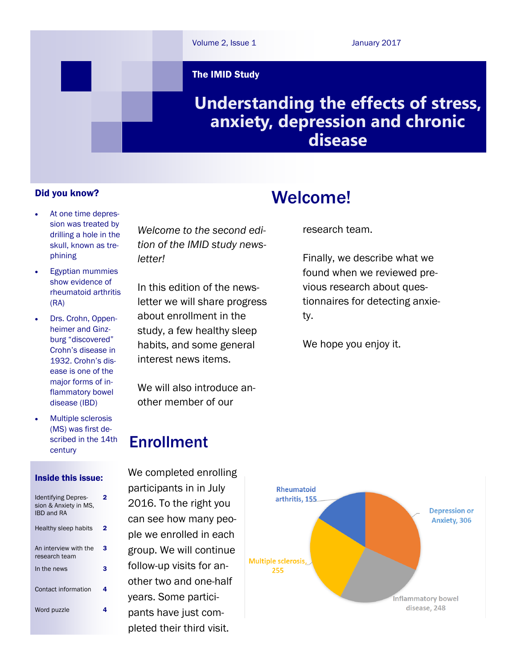

The IMID Study

## **Understanding the effects of stress, anxiety, depression and chronic disease**

#### Did you know?

- At one time depression was treated by drilling a hole in the skull, known as trephining
- Egyptian mummies show evidence of rheumatoid arthritis (RA)
- Drs. Crohn, Oppenheimer and Ginzburg "discovered" Crohn's disease in 1932. Crohn's disease is one of the major forms of inflammatory bowel disease (IBD)
- Multiple sclerosis (MS) was first described in the 14th century

#### Inside this issue:

| <b>Identifying Depres-</b><br>sion & Anxiety in MS.<br><b>IBD and RA</b> |   |
|--------------------------------------------------------------------------|---|
| Healthy sleep habits                                                     |   |
| An interview with the<br>research team                                   | 3 |
| In the news                                                              | 3 |
| Contact information                                                      | 4 |
| Word puzzle                                                              |   |
|                                                                          |   |

*Welcome to the second edition of the IMID study newsletter!*

In this edition of the newsletter we will share progress about enrollment in the study, a few healthy sleep habits, and some general interest news items.

We will also introduce another member of our

## Enrollment

We completed enrolling participants in in July 2016. To the right you can see how many people we enrolled in each group. We will continue follow-up visits for another two and one-half years. Some participants have just completed their third visit.

# Welcome!

research team.

Finally, we describe what we found when we reviewed previous research about questionnaires for detecting anxiety.

We hope you enjoy it.

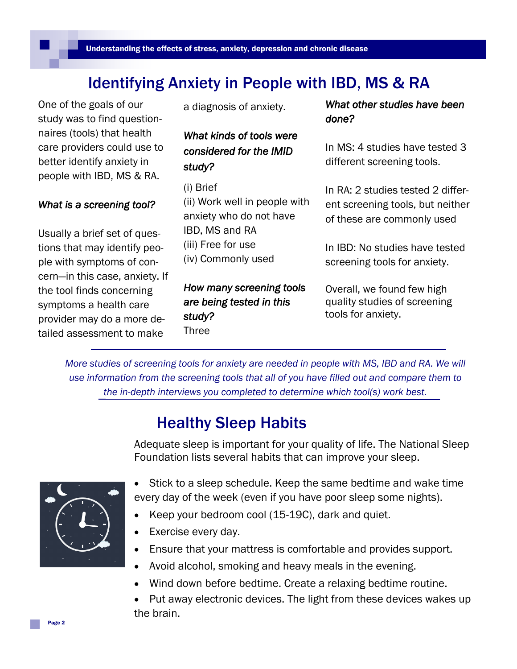# Identifying Anxiety in People with IBD, MS & RA

One of the goals of our study was to find questionnaires (tools) that health care providers could use to better identify anxiety in people with IBD, MS & RA.

### *What is a screening tool?*

Usually a brief set of questions that may identify people with symptoms of concern—in this case, anxiety. If the tool finds concerning symptoms a health care provider may do a more detailed assessment to make

a diagnosis of anxiety.

### *What kinds of tools were considered for the IMID study?*

(i) Brief (ii) Work well in people with anxiety who do not have IBD, MS and RA (iii) Free for use (iv) Commonly used

*How many screening tools are being tested in this study?*  Three

*What other studies have been done?* 

In MS: 4 studies have tested 3 different screening tools.

In RA: 2 studies tested 2 different screening tools, but neither of these are commonly used

In IBD: No studies have tested screening tools for anxiety.

Overall, we found few high quality studies of screening tools for anxiety.

*More studies of screening tools for anxiety are needed in people with MS, IBD and RA. We will use information from the screening tools that all of you have filled out and compare them to the in-depth interviews you completed to determine which tool(s) work best.*

# Healthy Sleep Habits

Adequate sleep is important for your quality of life. The National Sleep Foundation lists several habits that can improve your sleep.



- Stick to a sleep schedule. Keep the same bedtime and wake time every day of the week (even if you have poor sleep some nights).
- Keep your bedroom cool (15-19C), dark and quiet.
- Exercise every day.
- Ensure that your mattress is comfortable and provides support.
- Avoid alcohol, smoking and heavy meals in the evening.
- Wind down before bedtime. Create a relaxing bedtime routine.
- Put away electronic devices. The light from these devices wakes up the brain.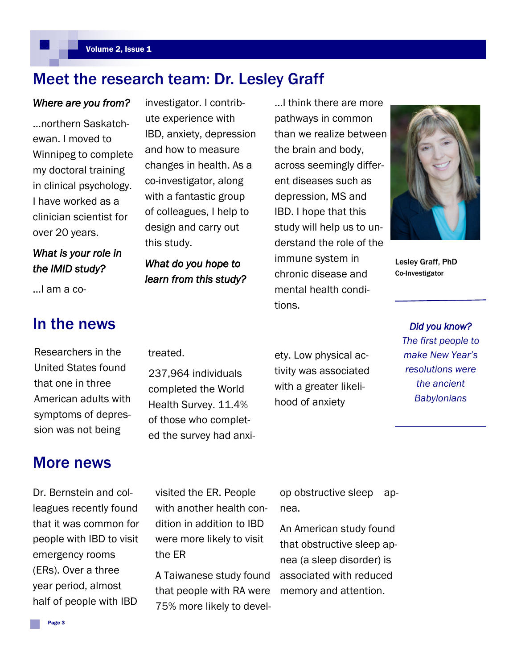### Meet the research team: Dr. Lesley Graff

#### *Where are you from?*

...northern Saskatchewan. I moved to Winnipeg to complete my doctoral training in clinical psychology. I have worked as a clinician scientist for over 20 years.

### *What is your role in the IMID study?*

...I am a co-

## In the news

Researchers in the United States found that one in three American adults with symptoms of depression was not being

## More news

Dr. Bernstein and colleagues recently found that it was common for people with IBD to visit emergency rooms (ERs). Over a three year period, almost half of people with IBD

investigator. I contribute experience with IBD, anxiety, depression and how to measure changes in health. As a co-investigator, along with a fantastic group of colleagues, I help to design and carry out this study.

*What do you hope to learn from this study?*  ...I think there are more pathways in common than we realize between the brain and body, across seemingly different diseases such as depression, MS and IBD. I hope that this study will help us to understand the role of the immune system in chronic disease and mental health conditions.



Lesley Graff, PhD Co-Investigator

> *Did you know? The first people to make New Year's resolutions were the ancient Babylonians*

treated.

the ER

237,964 individuals completed the World Health Survey. 11.4% of those who completed the survey had anxi-

visited the ER. People with another health condition in addition to IBD were more likely to visit

A Taiwanese study found that people with RA were 75% more likely to devel-

ety. Low physical activity was associated with a greater likelihood of anxiety

Page 3

op obstructive sleep apnea.

An American study found that obstructive sleep apnea (a sleep disorder) is associated with reduced memory and attention.